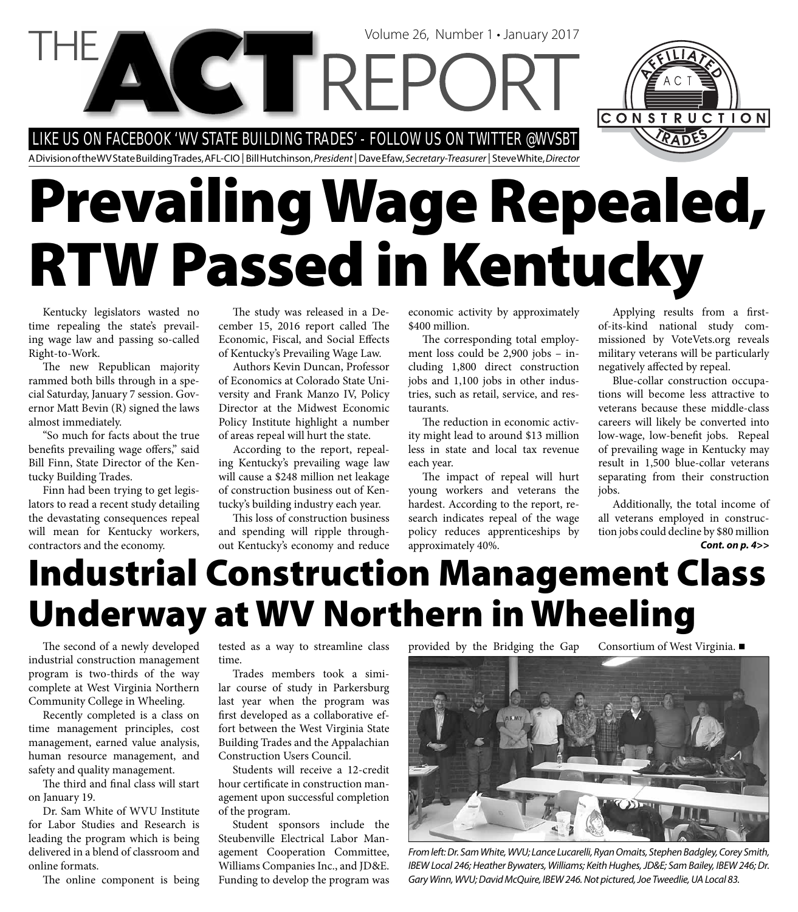LIKE US ON FACEBOOK 'WV STATE BUILDING TRADES' - FOLLOW US ON TWITTER @WVSBT

A Division of the WV State Building Trades, AFL-CIO | Bill Hutchinson, President | Dave Efaw, Secretary-Treasurer | Steve White, Director

# **Prevailing Wage Repealed, RTW Passed in Kentucky**

Volume 26, Number 1 • January 2017

Kentucky legislators wasted no time repealing the state's prevailing wage law and passing so-called Right-to-Work.

The new Republican majority rammed both bills through in a special Saturday, January 7 session. Governor Matt Bevin (R) signed the laws almost immediately.

"So much for facts about the true benefits prevailing wage offers," said Bill Finn, State Director of the Kentucky Building Trades.

Finn had been trying to get legislators to read a recent study detailing the devastating consequences repeal will mean for Kentucky workers, contractors and the economy.

The study was released in a December 15, 2016 report called The Economic, Fiscal, and Social Effects of Kentucky's Prevailing Wage Law.

Authors Kevin Duncan, Professor of Economics at Colorado State University and Frank Manzo IV, Policy Director at the Midwest Economic Policy Institute highlight a number of areas repeal will hurt the state.

According to the report, repealing Kentucky's prevailing wage law will cause a \$248 million net leakage of construction business out of Kentucky's building industry each year.

This loss of construction business and spending will ripple throughout Kentucky's economy and reduce economic activity by approximately \$400 million.

The corresponding total employment loss could be 2,900 jobs – including 1,800 direct construction jobs and 1,100 jobs in other industries, such as retail, service, and restaurants.

The reduction in economic activity might lead to around \$13 million less in state and local tax revenue each year.

The impact of repeal will hurt young workers and veterans the hardest. According to the report, research indicates repeal of the wage policy reduces apprenticeships by approximately 40%.

Applying results from a firstof-its-kind national study commissioned by VoteVets.org reveals military veterans will be particularly negatively affected by repeal.

Blue-collar construction occupations will become less attractive to veterans because these middle-class careers will likely be converted into low-wage, low-benefit jobs. Repeal of prevailing wage in Kentucky may result in 1,500 blue-collar veterans separating from their construction jobs.

*Cont. on p. 4>>* Additionally, the total income of all veterans employed in construction jobs could decline by \$80 million

### **Industrial Construction Management Class Underway at WV Northern in Wheeling**

The second of a newly developed industrial construction management program is two-thirds of the way complete at West Virginia Northern Community College in Wheeling.

Recently completed is a class on time management principles, cost management, earned value analysis, human resource management, and safety and quality management.

The third and final class will start on January 19.

Dr. Sam White of WVU Institute for Labor Studies and Research is leading the program which is being delivered in a blend of classroom and online formats.

The online component is being

tested as a way to streamline class time.

Trades members took a similar course of study in Parkersburg last year when the program was first developed as a collaborative effort between the West Virginia State Building Trades and the Appalachian Construction Users Council.

Students will receive a 12-credit hour certificate in construction management upon successful completion of the program.

Student sponsors include the Steubenville Electrical Labor Management Cooperation Committee, Williams Companies Inc., and JD&E. Funding to develop the program was

provided by the Bridging the Gap Consortium of West Virginia.



From left: Dr. Sam White, WVU; Lance Lucarelli, Ryan Omaits, Stephen Badgley, Corey Smith, IBEW Local 246; Heather Bywaters, Williams; Keith Hughes, JD&E; Sam Bailey, IBEW 246; Dr. Gary Winn, WVU; David McQuire, IBEW 246. Not pictured, Joe Tweedlie, UA Local 83.

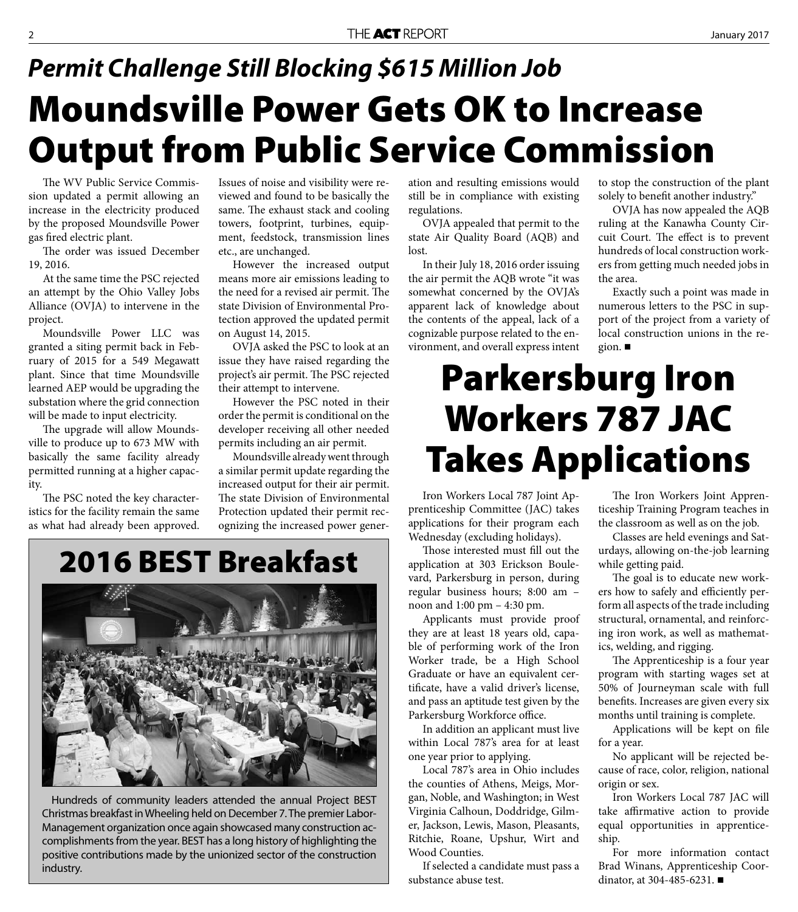#### **Moundsville Power Gets OK to Increase Output from Public Service Commission** *Permit Challenge Still Blocking \$615 Million Job*

The WV Public Service Commission updated a permit allowing an increase in the electricity produced by the proposed Moundsville Power gas fired electric plant.

The order was issued December 19, 2016.

At the same time the PSC rejected an attempt by the Ohio Valley Jobs Alliance (OVJA) to intervene in the project.

Moundsville Power LLC was granted a siting permit back in February of 2015 for a 549 Megawatt plant. Since that time Moundsville learned AEP would be upgrading the substation where the grid connection will be made to input electricity.

The upgrade will allow Moundsville to produce up to 673 MW with basically the same facility already permitted running at a higher capacity.

The PSC noted the key characteristics for the facility remain the same as what had already been approved. Issues of noise and visibility were reviewed and found to be basically the same. The exhaust stack and cooling towers, footprint, turbines, equipment, feedstock, transmission lines etc., are unchanged.

However the increased output means more air emissions leading to the need for a revised air permit. The state Division of Environmental Protection approved the updated permit on August 14, 2015.

OVJA asked the PSC to look at an issue they have raised regarding the project's air permit. The PSC rejected their attempt to intervene.

However the PSC noted in their order the permit is conditional on the developer receiving all other needed permits including an air permit.

Moundsville already went through a similar permit update regarding the increased output for their air permit. The state Division of Environmental Protection updated their permit recognizing the increased power gener-

#### **2016 BEST Breakfast**



Hundreds of community leaders attended the annual Project BEST Christmas breakfast in Wheeling held on December 7. The premier Labor-Management organization once again showcased many construction accomplishments from the year. BEST has a long history of highlighting the positive contributions made by the unionized sector of the construction industry.

ation and resulting emissions would still be in compliance with existing regulations.

OVJA appealed that permit to the state Air Quality Board (AQB) and lost.

In their July 18, 2016 order issuing the air permit the AQB wrote "it was somewhat concerned by the OVJA's apparent lack of knowledge about the contents of the appeal, lack of a cognizable purpose related to the environment, and overall express intent

to stop the construction of the plant solely to benefit another industry."

OVJA has now appealed the AQB ruling at the Kanawha County Circuit Court. The effect is to prevent hundreds of local construction workers from getting much needed jobs in the area.

Exactly such a point was made in numerous letters to the PSC in support of the project from a variety of local construction unions in the region.

### **Parkersburg Iron Workers 787 JAC Takes Applications**

Iron Workers Local 787 Joint Apprenticeship Committee (JAC) takes applications for their program each Wednesday (excluding holidays).

Those interested must fill out the application at 303 Erickson Boulevard, Parkersburg in person, during regular business hours; 8:00 am – noon and 1:00 pm – 4:30 pm.

Applicants must provide proof they are at least 18 years old, capable of performing work of the Iron Worker trade, be a High School Graduate or have an equivalent certificate, have a valid driver's license, and pass an aptitude test given by the Parkersburg Workforce office.

In addition an applicant must live within Local 787's area for at least one year prior to applying.

Local 787's area in Ohio includes the counties of Athens, Meigs, Morgan, Noble, and Washington; in West Virginia Calhoun, Doddridge, Gilmer, Jackson, Lewis, Mason, Pleasants, Ritchie, Roane, Upshur, Wirt and Wood Counties.

If selected a candidate must pass a substance abuse test.

The Iron Workers Joint Apprenticeship Training Program teaches in the classroom as well as on the job.

Classes are held evenings and Saturdays, allowing on-the-job learning while getting paid.

The goal is to educate new workers how to safely and efficiently perform all aspects of the trade including structural, ornamental, and reinforcing iron work, as well as mathematics, welding, and rigging.

The Apprenticeship is a four year program with starting wages set at 50% of Journeyman scale with full benefits. Increases are given every six months until training is complete.

Applications will be kept on file for a year.

No applicant will be rejected because of race, color, religion, national origin or sex.

Iron Workers Local 787 JAC will take affirmative action to provide equal opportunities in apprenticeship.

For more information contact Brad Winans, Apprenticeship Coordinator, at 304-485-6231.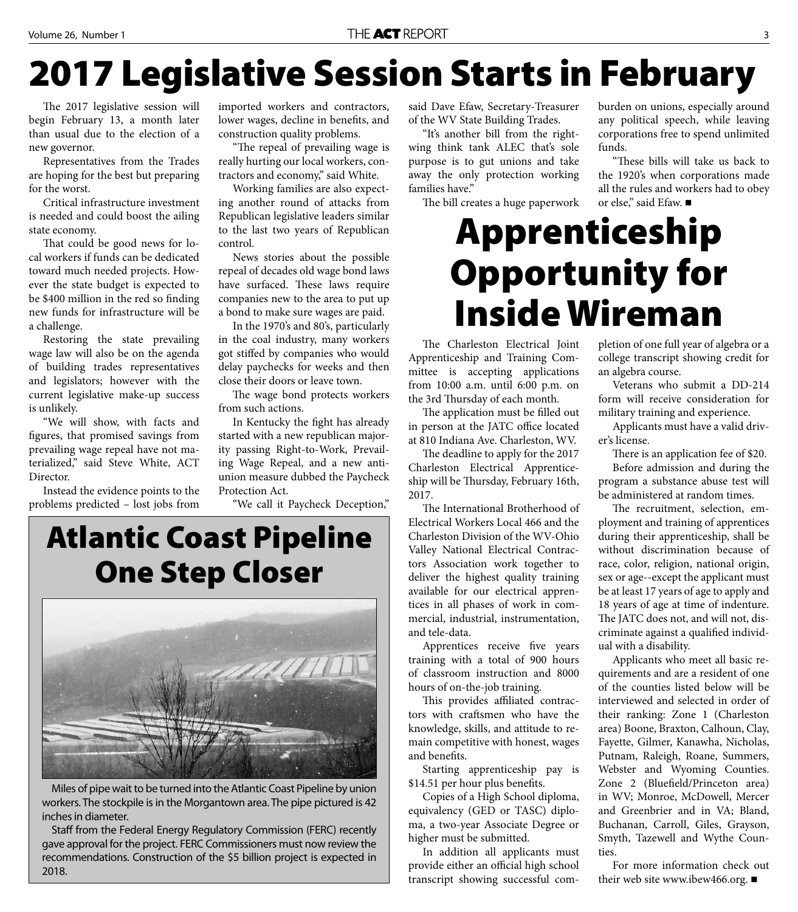# **2017 Legislative Session Starts in February**

The 2017 legislative session will begin February 13, a month later than usual due to the election of a new governor.

Representatives from the Trades are hoping for the best but preparing for the worst.

Critical infrastructure investment is needed and could boost the ailing state economy.

That could be good news for local workers if funds can be dedicated toward much needed projects. However the state budget is expected to be \$400 million in the red so finding new funds for infrastructure will be a challenge.

Restoring the state prevailing wage law will also be on the agenda of building trades representatives and legislators; however with the current legislative make-up success is unlikely.

"We will show, with facts and figures, that promised savings from prevailing wage repeal have not materialized," said Steve White, ACT Director.

Instead the evidence points to the problems predicted – lost jobs from

imported workers and contractors, lower wages, decline in benefits, and construction quality problems.

"The repeal of prevailing wage is really hurting our local workers, contractors and economy," said White.

Working families are also expecting another round of attacks from Republican legislative leaders similar to the last two years of Republican control.

News stories about the possible repeal of decades old wage bond laws have surfaced. These laws require companies new to the area to put up a bond to make sure wages are paid.

In the 1970's and 80's, particularly in the coal industry, many workers got stiffed by companies who would delay paychecks for weeks and then close their doors or leave town.

The wage bond protects workers from such actions.

In Kentucky the fight has already started with a new republican majority passing Right-to-Work, Prevailing Wage Repeal, and a new antiunion measure dubbed the Paycheck Protection Act.

"We call it Paycheck Deception,"

#### **Atlantic Coast Pipeline One Step Closer**



Miles of pipe wait to be turned into the Atlantic Coast Pipeline by union workers. The stockpile is in the Morgantown area. The pipe pictured is 42 inches in diameter.

Staff from the Federal Energy Regulatory Commission (FERC) recently gave approval for the project. FERC Commissioners must now review the recommendations. Construction of the \$5 billion project is expected in 2018.

said Dave Efaw, Secretary-Treasurer of the WV State Building Trades.

"It's another bill from the rightwing think tank ALEC that's sole purpose is to gut unions and take away the only protection working families have."

The bill creates a huge paperwork

burden on unions, especially around any political speech, while leaving corporations free to spend unlimited funds.

"These bills will take us back to the 1920's when corporations made all the rules and workers had to obey or else," said Efaw.

#### **Apprenticeship Opportunity for Inside Wireman**

The Charleston Electrical Joint Apprenticeship and Training Committee is accepting applications from 10:00 a.m. until 6:00 p.m. on the 3rd Thursday of each month.

The application must be filled out in person at the JATC office located at 810 Indiana Ave. Charleston, WV.

The deadline to apply for the 2017 Charleston Electrical Apprenticeship will be Thursday, February 16th, 2017.

The International Brotherhood of Electrical Workers Local 466 and the Charleston Division of the WV-Ohio Valley National Electrical Contractors Association work together to deliver the highest quality training available for our electrical apprentices in all phases of work in commercial, industrial, instrumentation, and tele-data.

Apprentices receive five years training with a total of 900 hours of classroom instruction and 8000 hours of on-the-job training.

This provides affiliated contractors with craftsmen who have the knowledge, skills, and attitude to remain competitive with honest, wages and benefits.

Starting apprenticeship pay is \$14.51 per hour plus benefits.

Copies of a High School diploma, equivalency (GED or TASC) diploma, a two-year Associate Degree or higher must be submitted.

In addition all applicants must provide either an official high school transcript showing successful completion of one full year of algebra or a college transcript showing credit for an algebra course.

Veterans who submit a DD-214 form will receive consideration for military training and experience.

Applicants must have a valid driver's license.

There is an application fee of \$20.

Before admission and during the program a substance abuse test will be administered at random times.

The recruitment, selection, employment and training of apprentices during their apprenticeship, shall be without discrimination because of race, color, religion, national origin, sex or age--except the applicant must be at least 17 years of age to apply and 18 years of age at time of indenture. The JATC does not, and will not, discriminate against a qualified individual with a disability.

Applicants who meet all basic requirements and are a resident of one of the counties listed below will be interviewed and selected in order of their ranking: Zone 1 (Charleston area) Boone, Braxton, Calhoun, Clay, Fayette, Gilmer, Kanawha, Nicholas, Putnam, Raleigh, Roane, Summers, Webster and Wyoming Counties. Zone 2 (Bluefield/Princeton area) in WV; Monroe, McDowell, Mercer and Greenbrier and in VA; Bland, Buchanan, Carroll, Giles, Grayson, Smyth, Tazewell and Wythe Counties.

For more information check out their web site www.ibew466.org. ■